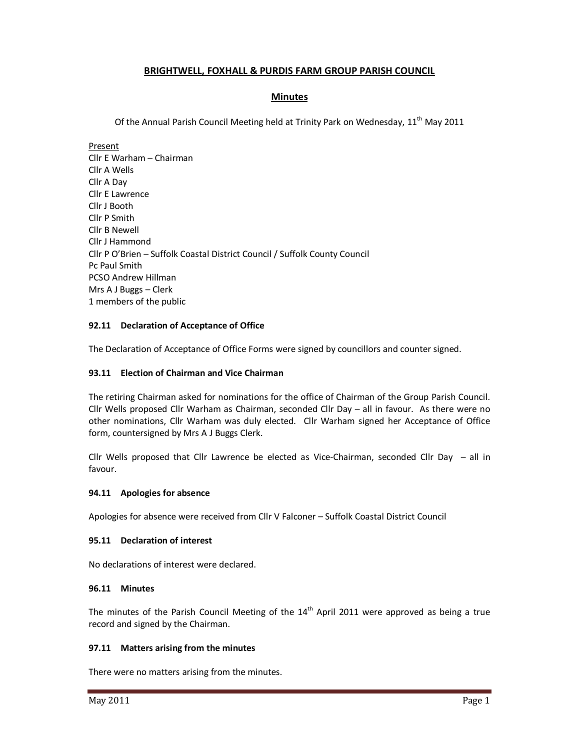# **BRIGHTWELL, FOXHALL & PURDIS FARM GROUP PARISH COUNCIL**

# **Minutes**

Of the Annual Parish Council Meeting held at Trinity Park on Wednesday, 11<sup>th</sup> May 2011

Present Cllr E Warham – Chairman Cllr A Wells Cllr A Day Cllr E Lawrence Cllr J Booth Cllr P Smith Cllr B Newell Cllr J Hammond Cllr P O'Brien – Suffolk Coastal District Council / Suffolk County Council Pc Paul Smith PCSO Andrew Hillman Mrs A J Buggs – Clerk 1 members of the public

# **92.11 Declaration of Acceptance of Office**

The Declaration of Acceptance of Office Forms were signed by councillors and counter signed.

### **93.11 Election of Chairman and Vice Chairman**

The retiring Chairman asked for nominations for the office of Chairman of the Group Parish Council. Cllr Wells proposed Cllr Warham as Chairman, seconded Cllr Day – all in favour. As there were no other nominations, Cllr Warham was duly elected. Cllr Warham signed her Acceptance of Office form, countersigned by Mrs A J Buggs Clerk.

Cllr Wells proposed that Cllr Lawrence be elected as Vice-Chairman, seconded Cllr Day  $-$  all in favour.

### **94.11 Apologies for absence**

Apologies for absence were received from Cllr V Falconer – Suffolk Coastal District Council

### **95.11 Declaration of interest**

No declarations of interest were declared.

### **96.11 Minutes**

The minutes of the Parish Council Meeting of the  $14<sup>th</sup>$  April 2011 were approved as being a true record and signed by the Chairman.

### **97.11 Matters arising from the minutes**

There were no matters arising from the minutes.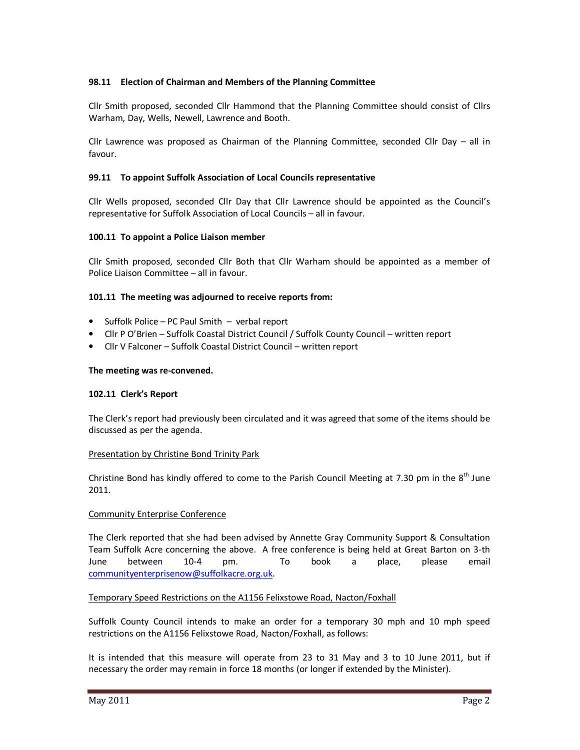# **98.11 Election of Chairman and Members of the Planning Committee**

Cllr Smith proposed, seconded Cllr Hammond that the Planning Committee should consist of Cllrs Warham, Day, Wells, Newell, Lawrence and Booth.

Cllr Lawrence was proposed as Chairman of the Planning Committee, seconded Cllr Day – all in favour.

### **99.11 To appoint Suffolk Association of Local Councils representative**

Cllr Wells proposed, seconded Cllr Day that Cllr Lawrence should be appointed as the Council's representative for Suffolk Association of Local Councils – all in favour.

### **100.11 To appoint a Police Liaison member**

Cllr Smith proposed, seconded Cllr Both that Cllr Warham should be appointed as a member of Police Liaison Committee – all in favour.

### **101.11 The meeting was adjourned to receive reports from:**

- Suffolk Police PC Paul Smith verbal report
- Cllr P O'Brien Suffolk Coastal District Council / Suffolk County Council written report
- Cllr V Falconer Suffolk Coastal District Council written report

### **The meeting was re-convened.**

### **102.11 Clerk's Report**

The Clerk's report had previously been circulated and it was agreed that some of the items should be discussed as per the agenda.

### Presentation by Christine Bond Trinity Park

Christine Bond has kindly offered to come to the Parish Council Meeting at 7.30 pm in the  $8<sup>th</sup>$  June 2011.

### Community Enterprise Conference

The Clerk reported that she had been advised by Annette Gray Community Support & Consultation Team Suffolk Acre concerning the above. A free conference is being held at Great Barton on 3-th June between 10-4 pm. To book a place, please email communityenterprisenow@suffolkacre.org.uk.

### Temporary Speed Restrictions on the A1156 Felixstowe Road, Nacton/Foxhall

Suffolk County Council intends to make an order for a temporary 30 mph and 10 mph speed restrictions on the A1156 Felixstowe Road, Nacton/Foxhall, as follows:

It is intended that this measure will operate from 23 to 31 May and 3 to 10 June 2011, but if necessary the order may remain in force 18 months (or longer if extended by the Minister).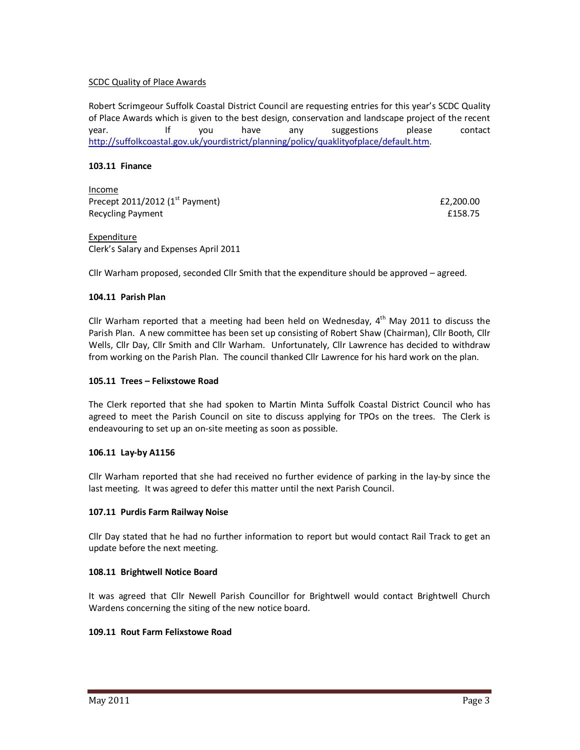## SCDC Quality of Place Awards

Robert Scrimgeour Suffolk Coastal District Council are requesting entries for this year's SCDC Quality of Place Awards which is given to the best design, conservation and landscape project of the recent year. If you have any suggestions please contact http://suffolkcoastal.gov.uk/yourdistrict/planning/policy/quaklityofplace/default.htm.

### **103.11 Finance**

Income Precept  $2011/2012$  (1<sup>st</sup> Payment)  $\qquad 22.200.00$ Recycling Payment **E158.75** 

Expenditure Clerk's Salary and Expenses April 2011

Cllr Warham proposed, seconded Cllr Smith that the expenditure should be approved – agreed.

### **104.11 Parish Plan**

Cllr Warham reported that a meeting had been held on Wednesday,  $4^{\text{th}}$  May 2011 to discuss the Parish Plan. A new committee has been set up consisting of Robert Shaw (Chairman), Cllr Booth, Cllr Wells, Cllr Day, Cllr Smith and Cllr Warham. Unfortunately, Cllr Lawrence has decided to withdraw from working on the Parish Plan. The council thanked Cllr Lawrence for his hard work on the plan.

### **105.11 Trees – Felixstowe Road**

The Clerk reported that she had spoken to Martin Minta Suffolk Coastal District Council who has agreed to meet the Parish Council on site to discuss applying for TPOs on the trees. The Clerk is endeavouring to set up an on-site meeting as soon as possible.

### **106.11 Lay-by A1156**

Cllr Warham reported that she had received no further evidence of parking in the lay-by since the last meeting. It was agreed to defer this matter until the next Parish Council.

# **107.11 Purdis Farm Railway Noise**

Cllr Day stated that he had no further information to report but would contact Rail Track to get an update before the next meeting.

### **108.11 Brightwell Notice Board**

It was agreed that Cllr Newell Parish Councillor for Brightwell would contact Brightwell Church Wardens concerning the siting of the new notice board.

# **109.11 Rout Farm Felixstowe Road**